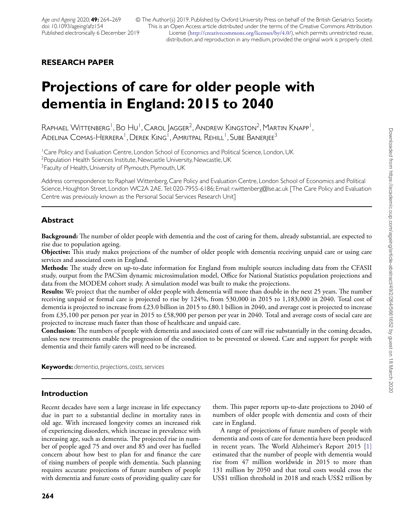© The Author(s) 2019. Published by Oxford University Press on behalf of the British Geriatrics Society. This is an Open Access article distributed under the terms of the Creative Commons Attribution License (<http://creativecommons.org/licenses/by/4.0/>), which permits unrestricted reuse, distribution, and reproduction in any medium, provided the original work is properly cited.

# **RESEARCH PAPER**

# **Projections of care for older people with dementia in England: 2015 to 2040**

 $R$ aphael Wittenberg<sup>1</sup>, Bo Hu<sup>1</sup>, Carol Jagger<sup>2</sup>, Andrew Kingston<sup>2</sup>, Martin Knapp<sup>1</sup>, Adelina Comas-Herrera<sup>1</sup>, Derek King<sup>1</sup>, Amritpal Rehill<sup>1</sup>, Sube Banerjee<sup>3</sup>

<sup>1</sup>Care Policy and Evaluation Centre, London School of Economics and Political Science, London, UK <sup>2</sup>Population Health Sciences Institute, Newcastle University, Newcastle, UK <sup>3</sup>Faculty of Health, University of Plymouth, Plymouth, UK

Address correspondence to: Raphael Wittenberg, Care Policy and Evaluation Centre, London School of Economics and Political Science, Houghton Street, London WC2A 2AE. Tel: 020-7955-6186; Email: r.wittenberg@lse.ac.uk [The Care Policy and Evaluation Centre was previously known as the Personal Social Services Research Unit]

# **Abstract**

**Background:** The number of older people with dementia and the cost of caring for them, already substantial, are expected to rise due to population ageing.

**Objective:** This study makes projections of the number of older people with dementia receiving unpaid care or using care services and associated costs in England.

**Methods:** The study drew on up-to-date information for England from multiple sources including data from the CFASII study, output from the PACSim dynamic microsimulation model, Office for National Statistics population projections and data from the MODEM cohort study. A simulation model was built to make the projections.

**Results:** We project that the number of older people with dementia will more than double in the next 25 years. The number receiving unpaid or formal care is projected to rise by 124%, from 530,000 in 2015 to 1,183,000 in 2040. Total cost of dementia is projected to increase from £23.0 billion in 2015 to £80.1 billion in 2040, and average cost is projected to increase from £35,100 per person per year in 2015 to £58,900 per person per year in 2040. Total and average costs of social care are projected to increase much faster than those of healthcare and unpaid care.

**Conclusion:** The numbers of people with dementia and associated costs of care will rise substantially in the coming decades, unless new treatments enable the progression of the condition to be prevented or slowed. Care and support for people with dementia and their family carers will need to be increased.

**Keywords:** *dementia*, *projections*,*costs*,*services*

# **Introduction**

Recent decades have seen a large increase in life expectancy due in part to a substantial decline in mortality rates in old age. With increased longevity comes an increased risk of experiencing disorders, which increase in prevalence with increasing age, such as dementia. The projected rise in number of people aged 75 and over and 85 and over has fuelled concern about how best to plan for and finance the care of rising numbers of people with dementia. Such planning requires accurate projections of future numbers of people with dementia and future costs of providing quality care for them. This paper reports up-to-date projections to 2040 of numbers of older people with dementia and costs of their care in England.

A range of projections of future numbers of people with dementia and costs of care for dementia have been produced in recent years. The World Alzheimer's Report 2015 [\[1\]](#page-4-0) estimated that the number of people with dementia would rise from 47 million worldwide in 2015 to more than 131 million by 2050 and that total costs would cross the US\$1 trillion threshold in 2018 and reach US\$2 trillion by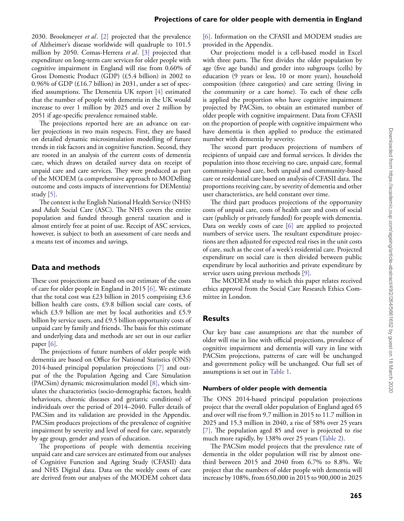2030. Brookmeyer *et al*. [\[2\]](#page-4-1) projected that the prevalence of Alzheimer's disease worldwide will quadruple to 101.5 million by 2050. Comas-Herrera *et al*. [\[3\]](#page-4-2) projected that expenditure on long-term care services for older people with cognitive impairment in England will rise from 0.60% of Gross Domestic Product (GDP) (£5.4 billion) in 2002 to 0.96% of GDP ( $\pounds16.7$  billion) in 2031, under a set of specified assumptions. The Dementia UK report [\[4\]](#page-5-0) estimated that the number of people with dementia in the UK would increase to over 1 million by 2025 and over 2 million by 2051 if age-specific prevalence remained stable.

The projections reported here are an advance on earlier projections in two main respects. First, they are based on detailed dynamic microsimulation modelling of future trends in risk factors and in cognitive function. Second, they are rooted in an analysis of the current costs of dementia care, which draws on detailed survey data on receipt of unpaid care and care services. They were produced as part of the MODEM (a comprehensive approach to MODelling outcome and costs impacts of interventions for DEMentia) study [\[5\].](#page-5-1)

The context is the English National Health Service (NHS) and Adult Social Care (ASC). The NHS covers the entire population and funded through general taxation and is almost entirely free at point of use. Receipt of ASC services, however, is subject to both an assessment of care needs and a means test of incomes and savings.

## **Data and methods**

These cost projections are based on our estimate of the costs of care for older people in England in 2015 [\[6\].](#page-5-2) We estimate that the total cost was £23 billion in 2015 comprising £3.6 billion health care costs, £9.8 billion social care costs, of which £3.9 billion are met by local authorities and £5.9 billion by service users, and £9.5 billion opportunity costs of unpaid care by family and friends. The basis for this estimate and underlying data and methods are set out in our earlier paper [\[6\].](#page-5-2)

The projections of future numbers of older people with dementia are based on Office for National Statistics (ONS) 2014-based principal population projections [\[7\]](#page-5-3) and output of the the Population Ageing and Care Simulation (PACSim) dynamic microsimulation model [\[8\],](#page-5-4) which simulates the characteristics (socio-demographic factors, health behaviours, chronic diseases and geriatric conditions) of individuals over the period of 2014–2040. Fuller details of PACSim and its validation are provided in the Appendix. PACSim produces projections of the prevalence of cognitive impairment by severity and level of need for care, separately by age group, gender and years of education.

The proportions of people with dementia receiving unpaid care and care services are estimated from our analyses of Cognitive Function and Ageing Study (CFASII) data and NHS Digital data. Data on the weekly costs of care are derived from our analyses of the MODEM cohort data

[\[6\].](#page-5-2) Information on the CFASII and MODEM studies are provided in the Appendix.

Our projections model is a cell-based model in Excel with three parts. The first divides the older population by age (five age bands) and gender into subgroups (cells) by education (9 years or less, 10 or more years), household composition (three categories) and care setting (living in the community or a care home). To each of these cells is applied the proportion who have cognitive impairment projected by PACSim, to obtain an estimated number of older people with cognitive impairment. Data from CFASII on the proportion of people with cognitive impairment who have dementia is then applied to produce the estimated number with dementia by severity.

The second part produces projections of numbers of recipients of unpaid care and formal services. It divides the population into those receiving no care, unpaid care, formal community-based care, both unpaid and community-based care or residential care based on analysis of CFASII data. The proportions receiving care, by severity of dementia and other user characteristics, are held constant over time.

The third part produces projections of the opportunity costs of unpaid care, costs of health care and costs of social care (publicly or privately funded) for people with dementia. Data on weekly costs of care [\[6\]](#page-5-2) are applied to projected numbers of service users. The resultant expenditure projections are then adjusted for expected real rises in the unit costs of care, such as the cost of a week's residential care. Projected expenditure on social care is then divided between public expenditure by local authorities and private expenditure by service users using previous methods [\[9\].](#page-5-5)

The MODEM study to which this paper relates received ethics approval from the Social Care Research Ethics Committee in London.

## **Results**

Our key base case assumptions are that the number of older will rise in line with official projections, prevalence of cognitive impairment and dementia will vary in line with PACSim projections, patterns of care will be unchanged and government policy will be unchanged. Our full set of assumptions is set out in [Table 1.](#page-2-0)

#### **Numbers of older people with dementia**

The ONS 2014-based principal population projections project that the overall older population of England aged 65 and over will rise from 9.7 million in 2015 to 11.7 million in 2025 and 15.3 million in 2040, a rise of 58% over 25 years [\[7\].](#page-5-3) The population aged 85 and over is projected to rise much more rapidly, by 138% over 25 years [\(Table 2\)](#page-2-1).

The PACSim model projects that the prevalence rate of dementia in the older population will rise by almost onethird between 2015 and 2040 from 6.7% to 8.8%. We project that the numbers of older people with dementia will increase by 108%, from 650,000 in 2015 to 900,000 in 2025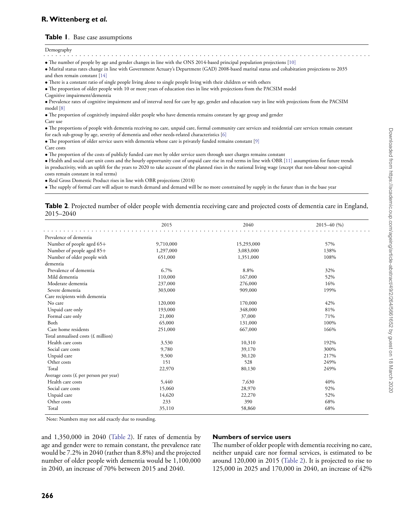## **R.Wittenberg** *et al.*

#### <span id="page-2-0"></span>**Table 1**. Base case assumptions

..................................................................................

• The number of people by age and gender changes in line with the ONS 2014-based principal population projections [\[10\]](#page-5-6)

• Marital status rates change in line with Government Actuary's Department (GAD) 2008-based marital status and cohabitation projections to 2035 and then remain constant [\[14\]](#page-5-7)

• There is a constant ratio of single people living alone to single people living with their children or with others

• The proportion of older people with 10 or more years of education rises in line with projections from the PACSIM model

Cognitive impairment/dementia

• Prevalence rates of cognitive impairment and of interval need for care by age, gender and education vary in line with projections from the PACSIM model [\[8\]](#page-5-4)

• The proportion of cognitively impaired older people who have dementia remains constant by age group and gender Care use

• The proportions of people with dementia receiving no care, unpaid care, formal community care services and residential care services remain constant for each sub-group by age, severity of dementia and other needs-related characteristics [\[6\]](#page-5-2)

• The proportion of older service users with dementia whose care is privately funded remains constant [\[9\]](#page-5-5)

Care costs

• The proportion of the costs of publicly funded care met by older service users through user charges remains constant

• Health and social care unit costs and the hourly opportunity cost of unpaid care rise in real terms in line with OBR [\[11\]](#page-5-8) assumptions for future trends in productivity, with an uplift for the years to 2020 to take account of the planned rises in the national living wage (except that non-labour non-capital costs remain constant in real terms)

• Real Gross Domestic Product rises in line with OBR projections (2018)

• The supply of formal care will adjust to match demand and demand will be no more constrained by supply in the future than in the base year

<span id="page-2-1"></span>**Table 2**. Projected number of older people with dementia receiving care and projected costs of dementia care in England, 2015–2040

|                                              | 2015      | 2040       | $2015 - 40(%)$ |
|----------------------------------------------|-----------|------------|----------------|
| Prevalence of dementia                       |           |            |                |
| Number of people aged 65+                    | 9,710,000 | 15,293,000 | 57%            |
| Number of people aged 85+                    | 1,297,000 | 3,083,000  | 138%           |
| Number of older people with                  | 651,000   | 1,351,000  | 108%           |
| dementia                                     |           |            |                |
| Prevalence of dementia                       | 6.7%      | 8.8%       | 32%            |
| Mild dementia                                | 110,000   | 167,000    | 52%            |
| Moderate dementia                            | 237,000   | 276,000    | 16%            |
| Severe dementia                              | 303,000   | 909,000    | 199%           |
| Care recipients with dementia                |           |            |                |
| No care                                      | 120,000   | 170,000    | 42%            |
| Unpaid care only                             | 193,000   | 348,000    | 81%            |
| Formal care only                             | 21,000    | 37,000     | 71%            |
| Both                                         | 65,000    | 131,000    | 100%           |
| Care home residents                          | 251,000   | 667,000    | 166%           |
| Total annualised costs $(E \text{ million})$ |           |            |                |
| Health care costs                            | 3,530     | 10,310     | 192%           |
| Social care costs                            | 9,780     | 39,170     | 300%           |
| Unpaid care                                  | 9,500     | 30,120     | 217%           |
| Other costs                                  | 151       | 528        | 249%           |
| Total                                        | 22,970    | 80,130     | 249%           |
| Average costs ( $E$ per person per year)     |           |            |                |
| Health care costs                            | 5,440     | 7,630      | 40%            |
| Social care costs                            | 15,060    | 28,970     | 92%            |
| Unpaid care                                  | 14,620    | 22,270     | 52%            |
| Other costs                                  | 233       | 390        | 68%            |
| Total                                        | 35,110    | 58,860     | 68%            |

Note: Numbers may not add exactly due to rounding.

and 1,350,000 in 2040 [\(Table 2\)](#page-2-1). If rates of dementia by age and gender were to remain constant, the prevalence rate would be 7.2% in 2040 (rather than 8.8%) and the projected number of older people with dementia would be 1,100,000 in 2040, an increase of 70% between 2015 and 2040.

#### **Numbers of service users**

The number of older people with dementia receiving no care, neither unpaid care nor formal services, is estimated to be around 120,000 in 2015 [\(Table 2\)](#page-2-1). It is projected to rise to 125,000 in 2025 and 170,000 in 2040, an increase of 42%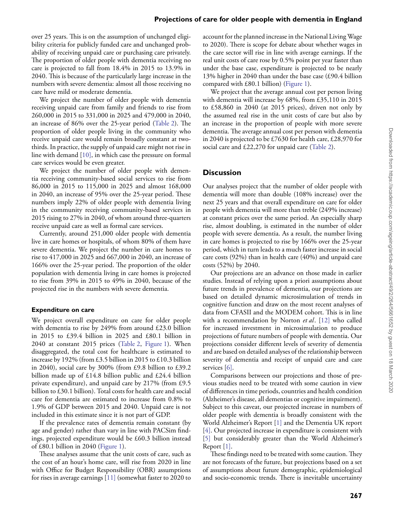over 25 years. This is on the assumption of unchanged eligibility criteria for publicly funded care and unchanged probability of receiving unpaid care or purchasing care privately. The proportion of older people with dementia receiving no care is projected to fall from 18.4% in 2015 to 13.9% in 2040. This is because of the particularly large increase in the numbers with severe dementia: almost all those receiving no care have mild or moderate dementia.

We project the number of older people with dementia receiving unpaid care from family and friends to rise from 260,000 in 2015 to 331,000 in 2025 and 479,000 in 2040, an increase of 86% over the 25-year period [\(Table 2\)](#page-2-1). The proportion of older people living in the community who receive unpaid care would remain broadly constant at twothirds. In practice, the supply of unpaid care might not rise in line with demand [\[10\],](#page-5-6) in which case the pressure on formal care services would be even greater.

We project the number of older people with dementia receiving community-based social services to rise from 86,000 in 2015 to 115,000 in 2025 and almost 168,000 in 2040, an increase of 95% over the 25-year period. These numbers imply 22% of older people with dementia living in the community receiving community-based services in 2015 rising to 27% in 2040, of whom around three-quarters receive unpaid care as well as formal care services.

Currently, around 251,000 older people with dementia live in care homes or hospitals, of whom 80% of them have severe dementia. We project the number in care homes to rise to 417,000 in 2025 and 667,000 in 2040, an increase of 166% over the 25-year period. The proportion of the older population with dementia living in care homes is projected to rise from 39% in 2015 to 49% in 2040, because of the projected rise in the numbers with severe dementia.

#### **Expenditure on care**

We project overall expenditure on care for older people with dementia to rise by 249% from around £23.0 billion in 2015 to £39.4 billion in 2025 and £80.1 billion in 2040 at constant 2015 prices [\(Table 2,](#page-2-1) [Figure 1\)](#page-4-3). When disaggregated, the total cost for healthcare is estimated to increase by 192% (from £3.5 billion in 2015 to £10.3 billion in 2040), social care by 300% (from £9.8 billion to £39.2 billion made up of £14.8 billion public and £24.4 billion private expenditure), and unpaid care by 217% (from £9.5 billion to £30.1 billion). Total costs for health care and social care for dementia are estimated to increase from 0.8% to 1.9% of GDP between 2015 and 2040. Unpaid care is not included in this estimate since it is not part of GDP.

If the prevalence rates of dementia remain constant (by age and gender) rather than vary in line with PACSim findings, projected expenditure would be £60.3 billion instead of  $£80.1$  billion in 2040 [\(Figure 1\)](#page-4-3).

These analyses assume that the unit costs of care, such as the cost of an hour's home care, will rise from 2020 in line with Office for Budget Responsibility (OBR) assumptions for rises in average earnings [\[11\]](#page-5-8) (somewhat faster to 2020 to account for the planned increase in the National Living Wage to 2020). There is scope for debate about whether wages in the care sector will rise in line with average earnings. If the real unit costs of care rose by 0.5% point per year faster than under the base case, expenditure is projected to be nearly 13% higher in 2040 than under the base case (£90.4 billion compared with £80.1 billion) [\(Figure 1\)](#page-4-3).

We project that the average annual cost per person living with dementia will increase by 68%, from £35,110 in 2015 to £58,860 in 2040 (at 2015 prices), driven not only by the assumed real rise in the unit costs of care but also by an increase in the proportion of people with more severe dementia. The average annual cost per person with dementia in 2040 is projected to be £7630 for health care, £28,970 for social care and £22,270 for unpaid care [\(Table 2\)](#page-2-1).

## **Discussion**

Our analyses project that the number of older people with dementia will more than double (108% increase) over the next 25 years and that overall expenditure on care for older people with dementia will more than treble (249% increase) at constant prices over the same period. An especially sharp rise, almost doubling, is estimated in the number of older people with severe dementia. As a result, the number living in care homes is projected to rise by 166% over the 25-year period, which in turn leads to a much faster increase in social care costs (92%) than in health care (40%) and unpaid care costs (52%) by 2040.

Our projections are an advance on those made in earlier studies. Instead of relying upon a priori assumptions about future trends in prevalence of dementia, our projections are based on detailed dynamic microsimulation of trends in cognitive function and draw on the most recent analyses of data from CFASII and the MODEM cohort. This is in line with a recommendation by Norton *et al*. [\[12\]](#page-5-9) who called for increased investment in microsimulation to produce projections of future numbers of people with dementia. Our projections consider different levels of severity of dementia and are based on detailed analyses of the relationship between severity of dementia and receipt of unpaid care and care services [\[6\].](#page-5-2)

Comparisons between our projections and those of previous studies need to be treated with some caution in view of differences in time periods, countries and health condition (Alzheimer's disease, all dementias or cognitive impairment). Subject to this caveat, our projected increase in numbers of older people with dementia is broadly consistent with the World Alzheimer's Report [\[1\]](#page-4-0) and the Dementia UK report [\[4\].](#page-5-0) Our projected increase in expenditure is consistent with [\[5\]](#page-5-1) but considerably greater than the World Alzheimer's Report [\[1\].](#page-4-0)

These findings need to be treated with some caution. They are not forecasts of the future, but projections based on a set of assumptions about future demographic, epidemiological and socio-economic trends. There is inevitable uncertainty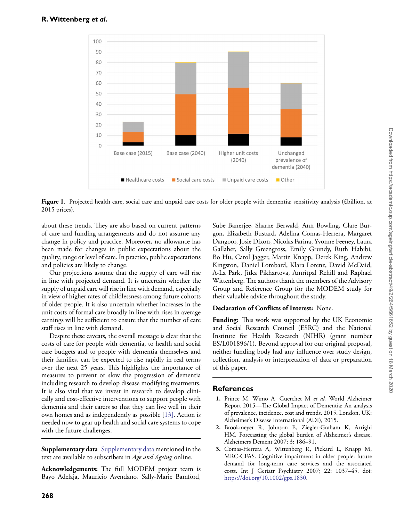

<span id="page-4-3"></span>**Figure 1**. Projected health care, social care and unpaid care costs for older people with dementia: sensitivity analysis (£billion, at 2015 prices).

about these trends. They are also based on current patterns of care and funding arrangements and do not assume any change in policy and practice. Moreover, no allowance has been made for changes in public expectations about the quality, range or level of care. In practice, public expectations and policies are likely to change.

Our projections assume that the supply of care will rise in line with projected demand. It is uncertain whether the supply of unpaid care will rise in line with demand, especially in view of higher rates of childlessness among future cohorts of older people. It is also uncertain whether increases in the unit costs of formal care broadly in line with rises in average earnings will be sufficient to ensure that the number of care staff rises in line with demand.

Despite these caveats, the overall message is clear that the costs of care for people with dementia, to health and social care budgets and to people with dementia themselves and their families, can be expected to rise rapidly in real terms over the next 25 years. This highlights the importance of measures to prevent or slow the progression of dementia including research to develop disease modifying treatments. It is also vital that we invest in research to develop clinically and cost-effective interventions to support people with dementia and their carers so that they can live well in their own homes and as independently as possible [\[13\].](#page-5-10) Action is needed now to gear up health and social care systems to cope with the future challenges.

**Supplementary data** [Supplementary data](https://academic.oup.com/ageing/article-lookup/doi/10.1093/ageing/afz154#supplementary-data) mentioned in the text are available to subscribers in *Age and Ageing* online.

**Acknowledgements:** The full MODEM project team is Bayo Adelaja, Mauricio Avendano, Sally-Marie Bamford,

Sube Banerjee, Sharne Berwald, Ann Bowling, Clare Burgon, Elizabeth Bustard, Adelina Comas-Herrera, Margaret Dangoor, Josie Dixon, Nicolas Farina, Yvonne Feeney, Laura Gallaher, Sally Greengross, Emily Grundy, Ruth Habibi, Bo Hu, Carol Jagger, Martin Knapp, Derek King, Andrew Kingston, Daniel Lombard, Klara Lorenz, David McDaid, A-La Park, Jitka Pikhartova, Amritpal Rehill and Raphael Wittenberg. The authors thank the members of the Advisory Group and Reference Group for the MODEM study for their valuable advice throughout the study.

## **Declaration of Conflicts of Interest:** None.

**Funding:** This work was supported by the UK Economic and Social Research Council (ESRC) and the National Institute for Health Research (NIHR) (grant number ES/L001896/1). Beyond approval for our original proposal, neither funding body had any influence over study design, collection, analysis or interpretation of data or preparation of this paper.

# **References**

- <span id="page-4-0"></span>**1.** Prince M, Wimo A, Guerchet M *et al.* World Alzheimer Report 2015—The Global Impact of Dementia: An analysis of prevalence, incidence, cost and trends. 2015. London, UK: Alzheimer's Disease International (ADI), 2015.
- <span id="page-4-1"></span>**2.** Brookmeyer R, Johnson E, Ziegler-Graham K, Arrighi HM. Forecasting the global burden of Alzheimer's disease. Alzheimers Dement 2007; 3: 186–91.
- <span id="page-4-2"></span>**3.** Comas-Herrera A, Wittenberg R, Pickard L, Knapp M, MRC-CFAS. Cognitive impairment in older people: future demand for long-term care services and the associated costs. Int J Geriatr Psychiatry 2007; 22: 1037–45. doi: [https://doi.org/10.1002/gps.1830.](https://doi.org/https://doi.org/10.1002/gps.1830)